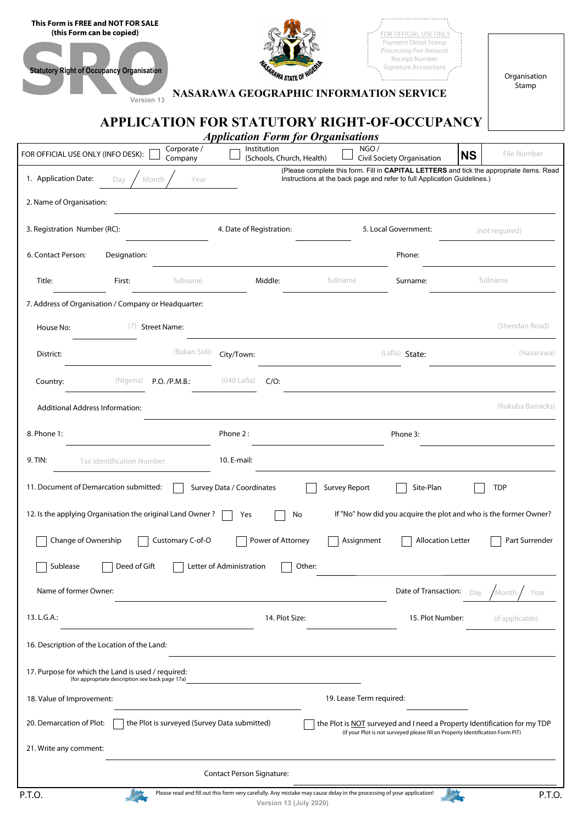| This Form is FREE and NOT FOR SALE<br>(this Form can be copied)<br><b>Statutory Right of Occupancy Organisation</b><br>Version 13 | <b>ASARAWA STATE OF "</b>                 | FOR OFFICIAL USE ONLY<br>Payment Detail Stamp<br>Processing Fee Amount<br>Receipt Number<br>Signature Accountant<br>NASARAWA GEOGRAPHIC INFORMATION SERVICE | Organisation<br>Stamp    |
|-----------------------------------------------------------------------------------------------------------------------------------|-------------------------------------------|-------------------------------------------------------------------------------------------------------------------------------------------------------------|--------------------------|
|                                                                                                                                   | <b>Application Form for Organisations</b> | APPLICATION FOR STATUTORY RIGHT-OF-OCCUPANCY                                                                                                                |                          |
| Corporate /<br>FOR OFFICIAL USE ONLY (INFO DESK):<br>Company                                                                      | Institution<br>(Schools, Church, Health)  | NGO/<br><b>Civil Society Organisation</b><br>(Please complete this form. Fill in CAPITAL LETTERS and tick the appropriate items. Read                       | File Number<br><b>NS</b> |
| 1. Application Date:<br>Year<br>Dav<br>Month                                                                                      |                                           | Instructions at the back page and refer to full Application Guidelines.)                                                                                    |                          |
| 2. Name of Organisation:                                                                                                          |                                           |                                                                                                                                                             |                          |
| 3. Registration Number (RC):                                                                                                      | 4. Date of Registration:                  | 5. Local Government:                                                                                                                                        | (not required)           |
| 6. Contact Person:<br>Designation:                                                                                                |                                           | Phone:                                                                                                                                                      |                          |
| Title:<br>First:<br>fullname                                                                                                      | Middle:                                   | fullname<br>Surname:                                                                                                                                        | fullname                 |
| 7. Address of Organisation / Company or Headquarter:                                                                              |                                           |                                                                                                                                                             |                          |
| <b>Street Name:</b><br>(7)<br>House No:                                                                                           |                                           |                                                                                                                                                             | (Shendan Road)           |
| (Bukan Sidi)<br>District:                                                                                                         | City/Town:                                | (Lafia) State:                                                                                                                                              | (Nasarawa)               |
| P.O. /P.M.B.:<br>Country:<br>(Nigeria)                                                                                            | $(040$ Lafia)<br>$C/O$ :                  |                                                                                                                                                             |                          |
| <b>Additional Address Information:</b>                                                                                            |                                           |                                                                                                                                                             | (Rukuba Barracks)        |
| 8. Phone 1:                                                                                                                       | Phone 2:                                  | Phone 3:                                                                                                                                                    |                          |
| 9. TIN:<br>Tax Identification Number                                                                                              | 10. E-mail:                               |                                                                                                                                                             |                          |
| 11. Document of Demarcation submitted:                                                                                            | Survey Data / Coordinates                 | <b>Survey Report</b><br>Site-Plan                                                                                                                           | <b>TDP</b>               |
| 12. Is the applying Organisation the original Land Owner?                                                                         | No<br>Yes                                 | If "No" how did you acquire the plot and who is the former Owner?                                                                                           |                          |
| Change of Ownership<br>Customary C-of-O                                                                                           | Power of Attorney                         | Assignment<br><b>Allocation Letter</b>                                                                                                                      | Part Surrender           |
| Deed of Gift<br>Sublease                                                                                                          | Letter of Administration                  | Other:                                                                                                                                                      |                          |
| Name of former Owner:                                                                                                             |                                           | Date of Transaction:                                                                                                                                        | Month<br>Year<br>Dav     |
| 13. L.G.A.:                                                                                                                       | 14. Plot Size:                            | 15. Plot Number:                                                                                                                                            | (if applicable)          |
| 16. Description of the Location of the Land:                                                                                      |                                           |                                                                                                                                                             |                          |
| 17. Purpose for which the Land is used / required:<br>(for appropriate description see back page 17a)                             |                                           |                                                                                                                                                             |                          |
| 18. Value of Improvement:                                                                                                         |                                           | 19. Lease Term required:                                                                                                                                    |                          |
| 20. Demarcation of Plot:<br>the Plot is surveyed (Survey Data submitted)                                                          |                                           | the Plot is NOT surveyed and I need a Property Identification for my TDP<br>(if your Plot is not surveyed please fill an Property Identification Form PIT)  |                          |
| 21. Write any comment:                                                                                                            |                                           |                                                                                                                                                             |                          |
|                                                                                                                                   | <b>Contact Person Signature:</b>          |                                                                                                                                                             |                          |
| P.T.O.                                                                                                                            |                                           | Please read and fill out this form very carefully. Any mistake may cause delay in the processing of your application!                                       | P.T.O.                   |